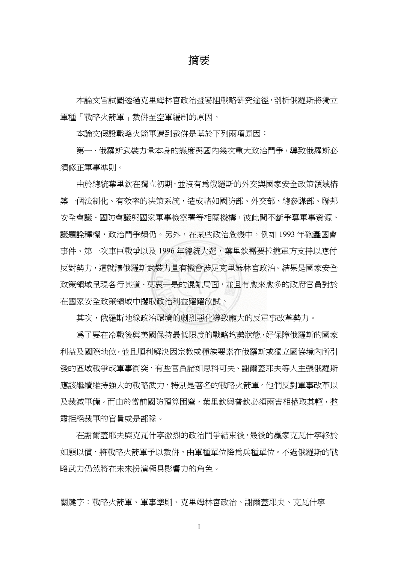摘要

本論文旨試圖透過克里姆林宮政治暨嚇阻戰略研究途徑,剖析俄羅斯將獨立 軍種「戰略火箭軍」裁併至空軍編制的原因。

本論文假設戰略火箭軍遭到裁併是基於下列兩項原因:

 第一、俄羅斯武裝力量本身的態度與國內幾次重大政治鬥爭,導致俄羅斯必 須修正軍事準則。

 由於總統葉里欽在獨立初期,並沒有為俄羅斯的外交與國家安全政策領域構 築一個法制化、有效率的決策系統,造成諸如國防部、外交部、總參謀部、聯邦 安全會議、國防會議與國家軍事檢察署等相關機構,彼此間不斷爭奪軍事資源、 議題詮釋權,政治鬥爭頻仍。另外,在某些政治危機中,例如 1993 年砲轟國會 事件、第一次車臣戰爭以及 1996年總統大選,葉里欽需要拉攏軍方支持以應付 反對勢力,這就讓俄羅斯武裝力量有機會涉足克里姆林宮政治。結果是國家安全 政策領域呈現各行其道、莫衷一是的混亂局面,並且有愈來愈多的政府官員對於 在國家安全政策領域中攫取政治利益躍躍欲試。

其次,俄羅斯地緣政治環境的劇烈惡化導致龐大的反軍事改革勢力。

為了要在冷戰後與美國保持最低限度的戰略均勢狀態,好保障俄羅斯的國家 利益及國際地位,並且順利解決因宗教或種族要素在俄羅斯或獨立國協境內所引 發的區域戰爭或軍事衝突,有些官員諸如思科可夫、謝爾蓋耶夫等人主張俄羅斯 應該繼續維持強大的戰略武力,特別是著名的戰略火箭軍。他們反對軍事改革以 及裁減軍備。而由於當前國防預算困窘,葉里欽與普欽必須兩害相權取其輕,整 肅拒絕裁軍的官員或是部隊。

在謝爾蓋耶夫與克瓦什寧激烈的政治鬥爭結束後,最後的贏家克瓦什寧終於 如願以償,將戰略火箭軍予以裁併,由軍種單位降為兵種單位。不過俄羅斯的戰 略武力仍然將在未來扮演極具影響力的角色。

關鍵字:戰略火箭軍、軍事準則、克里姆林宮政治、謝爾蓋耶夫、克瓦什寧

I